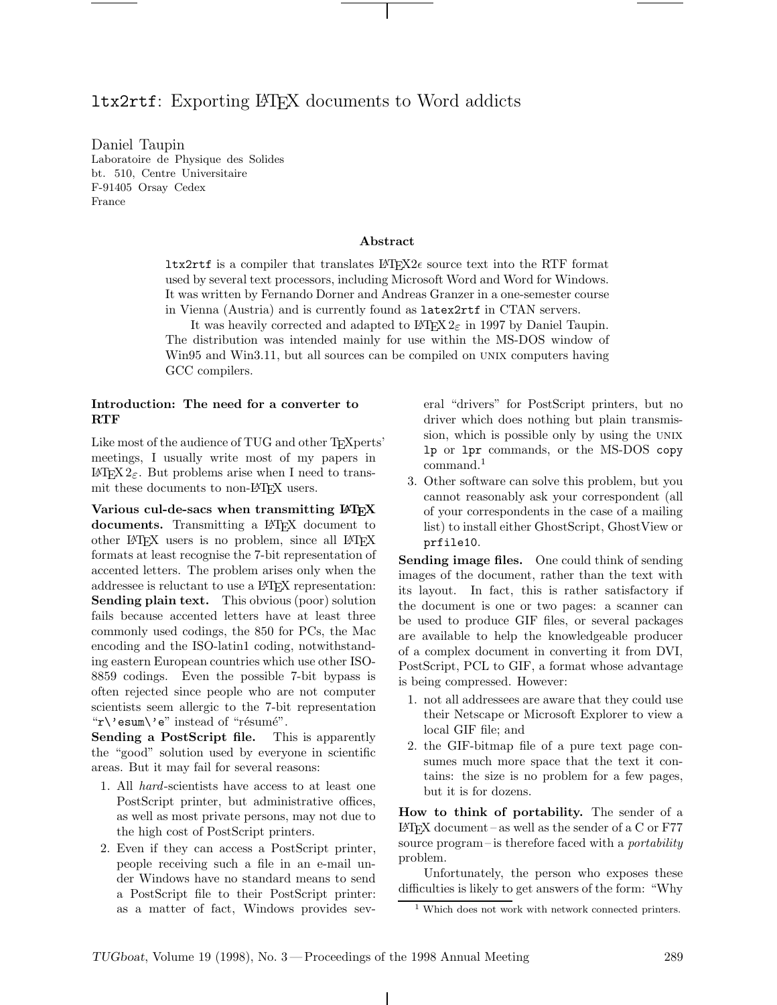## ltx2rtf: Exporting LATEX documents to Word addicts

Daniel Taupin Laboratoire de Physique des Solides bt. 510, Centre Universitaire F-91405 Orsay Cedex France

## **Abstract**

**ltx2rtf** is a compiler that translates  $\angle$ FIFX2 $\epsilon$  source text into the RTF format used by several text processors, including Microsoft Word and Word for Windows. It was written by Fernando Dorner and Andreas Granzer in a one-semester course in Vienna (Austria) and is currently found as latex2rtf in CTAN servers.

It was heavily corrected and adapted to  $\text{LATEX} 2_{\varepsilon}$  in 1997 by Daniel Taupin. The distribution was intended mainly for use within the MS-DOS window of Win95 and Win3.11, but all sources can be compiled on unix computers having GCC compilers.

## **Introduction: The need for a converter to RTF**

Like most of the audience of TUG and other T<sub>E</sub>Xperts' meetings, I usually write most of my papers in LAT<sub>E</sub>X 2<sub>ε</sub>. But problems arise when I need to transmit these documents to non-LATEX users.

**Various cul-de-sacs when transmitting LATEX documents.** Transmitting a LAT<sub>EX</sub> document to other LATEX users is no problem, since all LATEX formats at least recognise the 7-bit representation of accented letters. The problem arises only when the addressee is reluctant to use a LATEX representation: **Sending plain text.** This obvious (poor) solution fails because accented letters have at least three commonly used codings, the 850 for PCs, the Mac encoding and the ISO-latin1 coding, notwithstanding eastern European countries which use other ISO-8859 codings. Even the possible 7-bit bypass is often rejected since people who are not computer scientists seem allergic to the 7-bit representation " $r'$ 'esum $\vee$ 'e" instead of "résumé".

**Sending a PostScript file.** This is apparently the "good" solution used by everyone in scientific areas. But it may fail for several reasons:

- 1. All hard-scientists have access to at least one PostScript printer, but administrative offices, as well as most private persons, may not due to the high cost of PostScript printers.
- 2. Even if they can access a PostScript printer, people receiving such a file in an e-mail under Windows have no standard means to send a PostScript file to their PostScript printer: as a matter of fact, Windows provides sev-

eral "drivers" for PostScript printers, but no driver which does nothing but plain transmission, which is possible only by using the UNIX lp or lpr commands, or the MS-DOS copy command.<sup>1</sup>

3. Other software can solve this problem, but you cannot reasonably ask your correspondent (all of your correspondents in the case of a mailing list) to install either GhostScript, GhostView or prfile10.

**Sending image files.** One could think of sending images of the document, rather than the text with its layout. In fact, this is rather satisfactory if the document is one or two pages: a scanner can be used to produce GIF files, or several packages are available to help the knowledgeable producer of a complex document in converting it from DVI, PostScript, PCL to GIF, a format whose advantage is being compressed. However:

- 1. not all addressees are aware that they could use their Netscape or Microsoft Explorer to view a local GIF file; and
- 2. the GIF-bitmap file of a pure text page consumes much more space that the text it contains: the size is no problem for a few pages, but it is for dozens.

**How to think of portability.** The sender of a  $\LaTeX\ document-as$  well as the sender of a C or F77 source program–is therefore faced with a *portability* problem.

Unfortunately, the person who exposes these difficulties is likely to get answers of the form: "Why

<sup>&</sup>lt;sup>1</sup> Which does not work with network connected printers.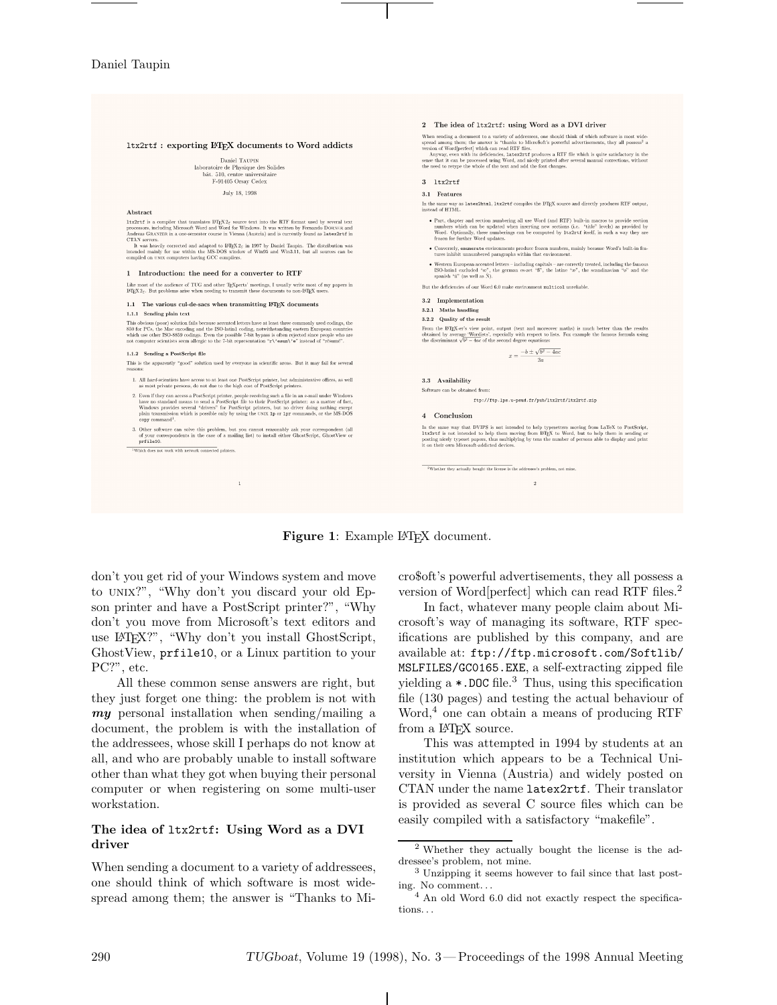

## Figure 1: Example L<sup>AT</sup>EX document.

don't you get rid of your Windows system and move to unix?", "Why don't you discard your old Epson printer and have a PostScript printer?", "Why don't you move from Microsoft's text editors and use LATEX?", "Why don't you install GhostScript, GhostView, prfile10, or a Linux partition to your PC?", etc.

All these common sense answers are right, but they just forget one thing: the problem is not with *my* personal installation when sending/mailing a document, the problem is with the installation of the addressees, whose skill I perhaps do not know at all, and who are probably unable to install software other than what they got when buying their personal computer or when registering on some multi-user workstation.

## **The idea of** ltx2rtf**: Using Word as a DVI driver**

When sending a document to a variety of addressees, one should think of which software is most widespread among them; the answer is "Thanks to Micro\$oft's powerful advertisements, they all possess a version of Word[perfect] which can read RTF files.<sup>2</sup>

In fact, whatever many people claim about Microsoft's way of managing its software, RTF specifications are published by this company, and are available at: ftp://ftp.microsoft.com/Softlib/ MSLFILES/GC0165.EXE, a self-extracting zipped file yielding  $a * DOC$  file.<sup>3</sup> Thus, using this specification file (130 pages) and testing the actual behaviour of Word, $4$  one can obtain a means of producing RTF from a IAT<sub>F</sub>X source.

This was attempted in 1994 by students at an institution which appears to be a Technical University in Vienna (Austria) and widely posted on CTAN under the name latex2rtf. Their translator is provided as several C source files which can be easily compiled with a satisfactory "makefile".

<sup>2</sup> Whether they actually bought the license is the addressee's problem, not mine.

<sup>3</sup> Unzipping it seems however to fail since that last posting. No comment. . .

<sup>4</sup> An old Word 6.0 did not exactly respect the specifications. . .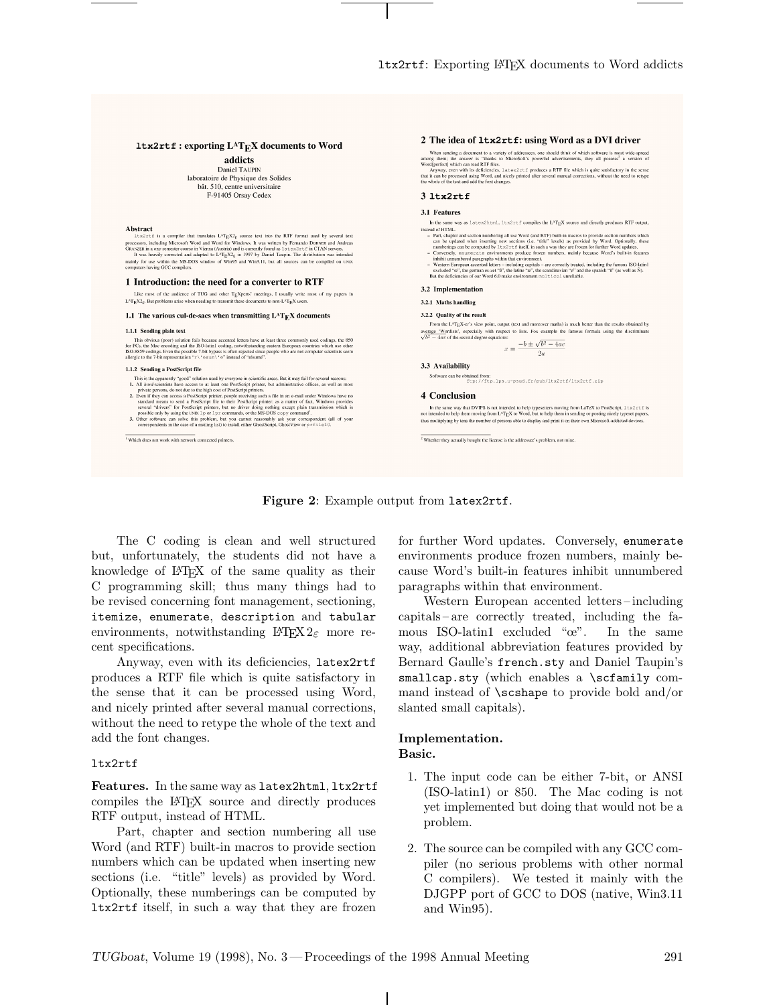## $1$ tx2rtf: exporting  $L^AT_EX$  documents to Word

addicts Daniel TAUPIN laboratoire de Physique des Solides bât. 510. centre universitaire F-91405 Orsay Cedex

#### Abstract

 $x$  and  $x$  is a compiler that translates  $LAT_EX2_E$  source text into the RTF format used by several text 2 solution to the material of the material of the processors, including Microsoft Word and Word for Windows. It was written by Fernando DONSER and Andreas processors, including Microsoft Word and Word for Windows. It was w

#### 1 Introduction: the need for a converter to RTF

Like most of the audience of TUG and other  $T<sub>E</sub>Xperis'$  meetings, I usually write most of my papers in  $L<sup>x</sup>T<sub>E</sub>X<sub>E</sub>$ . But problems arise when needing to transmit these documents to non- $L<sup>x</sup>T<sub>E</sub>X$  users.

#### 1.1 The various cul-de-sacs when transmitting  $L^{AT}E^{X}$  documents

#### 1.1.1 Sending plain text

This obvious (poor) solution fails because accented letters have at least three commonly used codings, the 850 for PCs, the Mac encoding and the ISO-latin] coding, notwithstanding eastern European countries which use othe

#### 1.1.2 Sending a PostScript file

- 
- **EXECUTE CONSULTER CONSULTER CONSULTER** and the proposed in scientific areas. But it may fail for several reasons:<br>
1. All *hord*-scientists have access to at least one PossScript primer.<br>
1. All *hord*-scientists have ac

Which does not work with network connected printers.

# When sending a document to a variety of addressees, one should think of which software is most wide-spread<br>among them: the answer is <sup>1</sup> shanks to MicroSoft's powerful advertisements, they all possess<sup>2</sup> a version of<br>Word  $3.1+x2rtf$ 3.1 Features In the same way as latex2html, ltx2rtf compiles the L<sup>A</sup>T<sub>E</sub>X source and directly produces RTF output,

2 The idea of 1tx2rtf: using Word as a DVI driver

- instead of HTML.
- nstaal of HTML.<br>ILTML, and the matterial succession analysis of the section numbers which can be updated when instances to provide section numbers which can be updated when instances the computed by the summerings can be
- 

#### 3.2 Implementation

### 3.2.1 Maths handling

#### 3.2.2 Ouality of the result

From the L<sup>A</sup>TEX-er's view point, output (text and moreover maths) is much better than the results obtained by average 'Wordists', especially with respect to lists. Fox example the famous formula using the discrimited  $\sqrt{b^2-4ac}$  of the second degree equations:  $-b \pm \sqrt{b^2 - 4ac}$ 

$$
x = \frac{-b \pm \sqrt{b^2}}{2a}
$$

3.3 Availability

Software can be obtained from:  $\texttt{ftp://ftp.lps.u-psud.fr/pub/ltx2rtf/ltx2rtf,zip}$ 

#### 4 Conclusion

In the same way that DVIPS is not intended to help typesetters moving from LaTeX to PostScript,  $1+x2x \leq t \leq$  is intended to help them moving from L<sup>A</sup>T<sub>E</sub>X to Word, but to help them in sending or posting nicely typeset p thus multiplying by tens the number of persons able to display and print it on their own Microsoft-addicted devices

 $\frac{1}{2}$  Whether they actually bought the license is the addressee's problem, not mine

## **Figure 2**: Example output from latex2rtf.

The C coding is clean and well structured but, unfortunately, the students did not have a knowledge of LATEX of the same quality as their C programming skill; thus many things had to be revised concerning font management, sectioning, itemize, enumerate, description and tabular environments, notwithstanding  $\text{LATEX} 2_{\varepsilon}$  more recent specifications.

Anyway, even with its deficiencies, latex2rtf produces a RTF file which is quite satisfactory in the sense that it can be processed using Word, and nicely printed after several manual corrections, without the need to retype the whole of the text and add the font changes.

#### ltx2rtf

**Features.** In the same way as latex2html, ltx2rtf compiles the LATEX source and directly produces RTF output, instead of HTML.

Part, chapter and section numbering all use Word (and RTF) built-in macros to provide section numbers which can be updated when inserting new sections (i.e. "title" levels) as provided by Word. Optionally, these numberings can be computed by ltx2rtf itself, in such a way that they are frozen for further Word updates. Conversely, enumerate environments produce frozen numbers, mainly because Word's built-in features inhibit unnumbered paragraphs within that environment.

Western European accented letters-including capitals– are correctly treated, including the famous ISO-latin1 excluded "œ". In the same way, additional abbreviation features provided by Bernard Gaulle's french.sty and Daniel Taupin's smallcap.sty (which enables a \scfamily command instead of \scshape to provide bold and/or slanted small capitals).

## **Implementation. Basic.**

- 1. The input code can be either 7-bit, or ANSI (ISO-latin1) or 850. The Mac coding is not yet implemented but doing that would not be a problem.
- 2. The source can be compiled with any GCC compiler (no serious problems with other normal C compilers). We tested it mainly with the DJGPP port of GCC to DOS (native, Win3.11 and Win95).